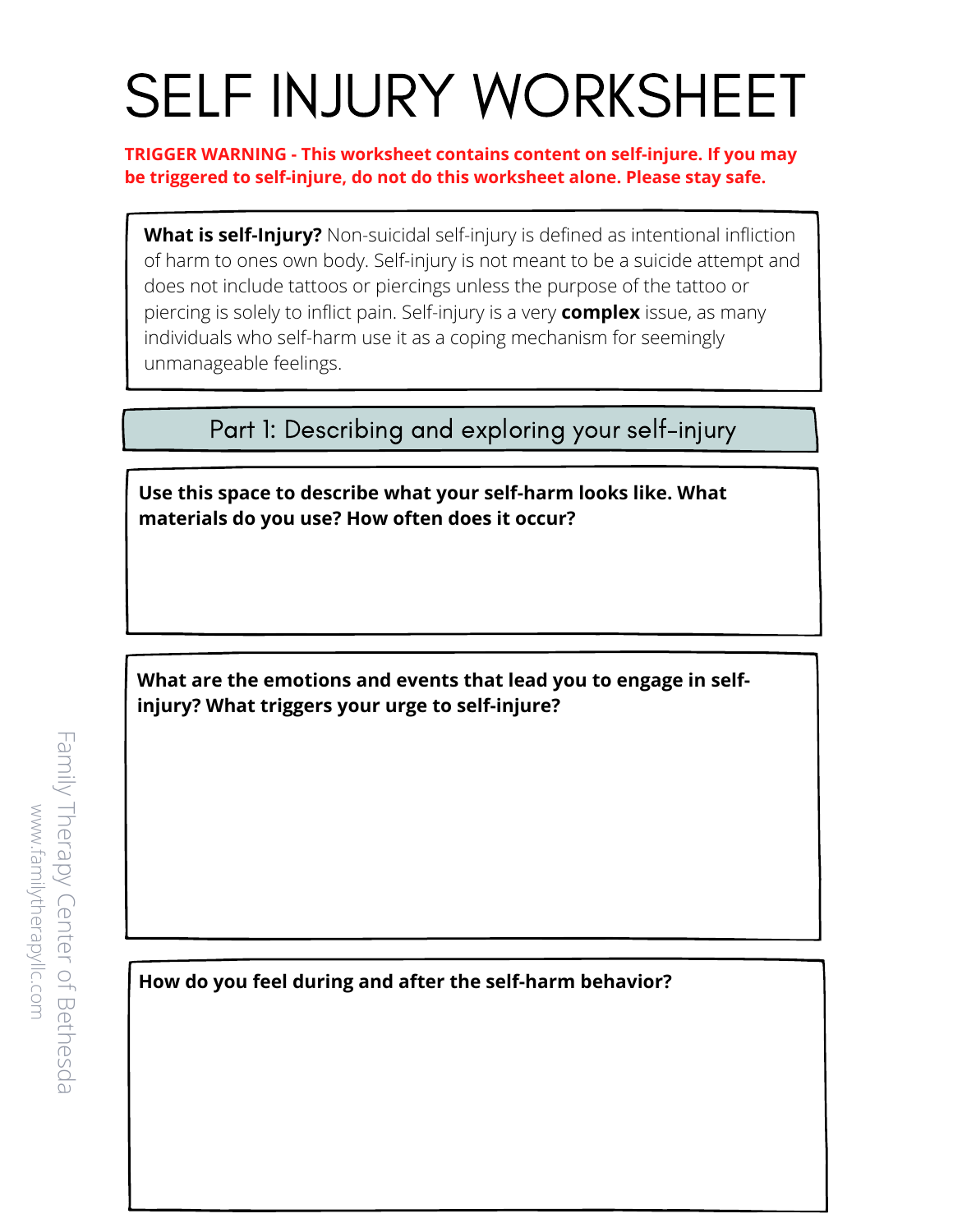## SELF INJURY WORKSHEET

**TRIGGER WARNING - This worksheet contains content on self-injure. If you may be triggered to self-injure, do not do this worksheet alone. Please stay safe.**

**What is self-Injury?** Non-suicidal self-injury is defined as intentional infliction of harm to ones own body. Self-injury is not meant to be a suicide attempt and does not include tattoos or piercings unless the purpose of the tattoo or piercing is solely to inflict pain. Self-injury is a very **complex** issue, as many individuals who self-harm use it as a coping mechanism for seemingly unmanageable feelings.

Part 1: Describing and exploring your self-injury

**Use this space to describe what your self-harm looks like. What materials do you use? How often does it occur?**

**What are the emotions and events that lead you to engage in selfinjury? What triggers your urge to self-injure?**

**How do you feel during and after the self-harm behavior?** 

F a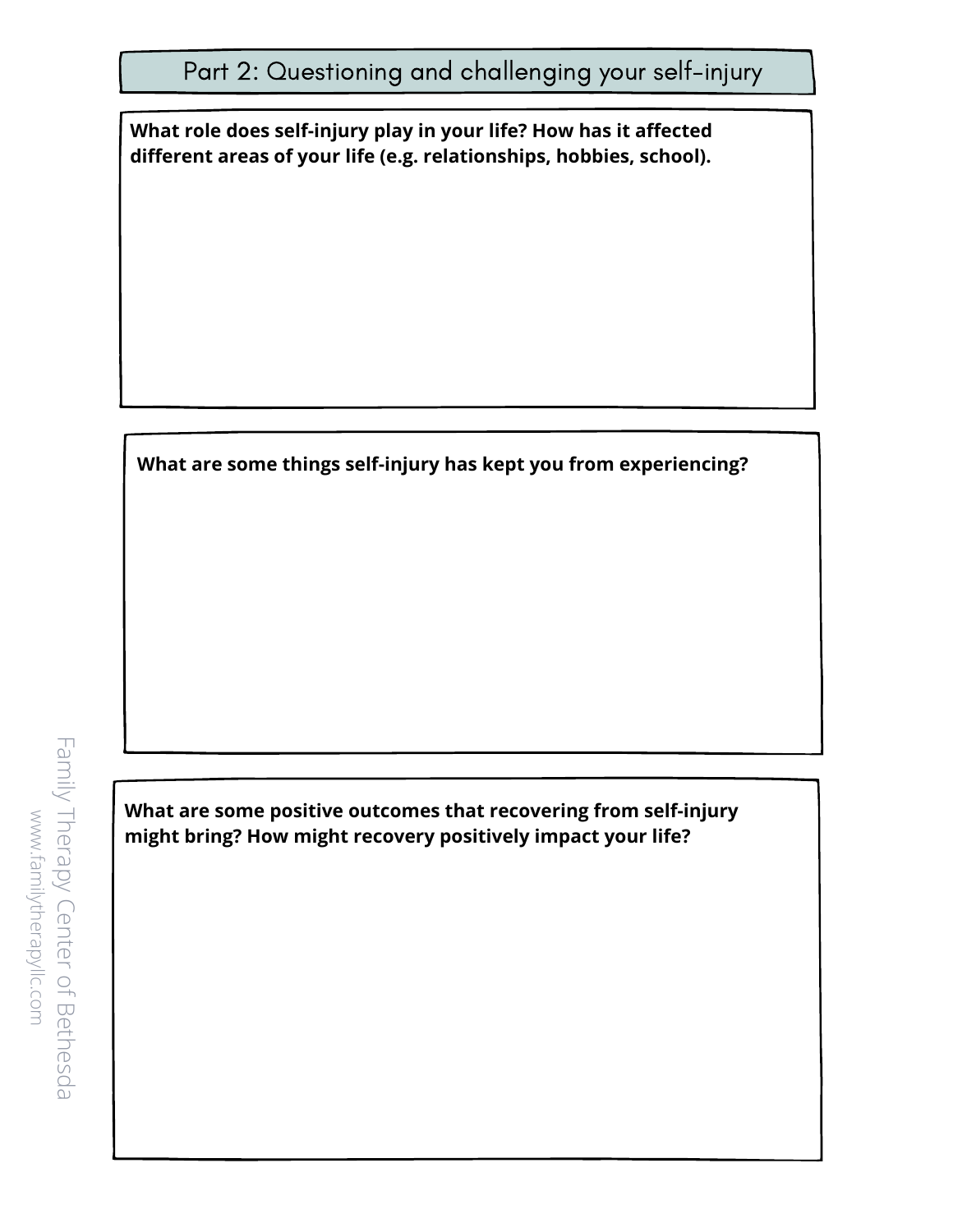**What role does self-injury play in your life? How has it affected different areas of your life (e.g. relationships, hobbies, school).**

**What are some things self-injury has kept you from experiencing?**

**What are some positive outcomes that recovering from self-injury might bring? How might recovery positively impact your life?**